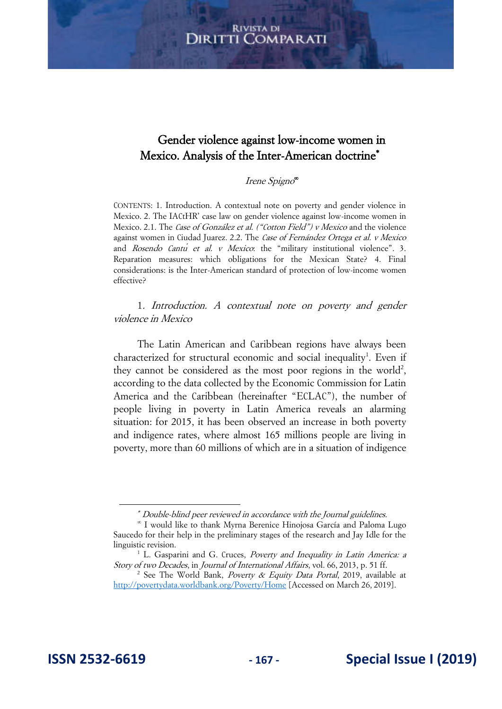### Gender violence against low-income women in Mexico. Analysis of the Inter-American doctrine

#### Irene Spigno<sup>®</sup>

CONTENTS: 1. Introduction. A contextual note on poverty and gender violence in Mexico. 2. The IACtHR' case law on gender violence against low-income women in Mexico. 2.1. The Case of González et al. ("Cotton Field") v Mexico and the violence against women in Ciudad Juarez. 2.2. The Case of Fernández Ortega et al. v Mexico and Rosendo Cantu<sup>*i*</sup> et al. *v Mexico*: the "military institutional violence". 3. Reparation measures: which obligations for the Mexican State? 4. Final considerations: is the Inter-American standard of protection of low-income women effective?

1. Introduction. A contextual note on poverty and gender violence in Mexico

The Latin American and Caribbean regions have always been characterized for structural economic and social inequality<sup>1</sup>. Even if they cannot be considered as the most poor regions in the world<sup>2</sup>, according to the data collected by the Economic Commission for Latin America and the Caribbean (hereinafter "ECLAC"), the number of people living in poverty in Latin America reveals an alarming situation: for 2015, it has been observed an increase in both poverty and indigence rates, where almost 165 millions people are living in poverty, more than 60 millions of which are in a situation of indigence

 Double-blind peer reviewed in accordance with the Journal guidelines.

 I would like to thank Myrna Berenice Hinojosa García and Paloma Lugo Saucedo for their help in the preliminary stages of the research and Jay Idle for the linguistic revision.

 $1$  L. Gasparini and G. Cruces, *Poverty and Inequality in Latin America: a* Story of two Decades, in Journal of International Affairs, vol. 66, 2013, p. 51 ff.

<sup>&</sup>lt;sup>2</sup> See The World Bank, *Poverty & Equity Data Portal*, 2019, available at <http://povertydata.worldbank.org/Poverty/Home>[Accessed on March 26, 2019].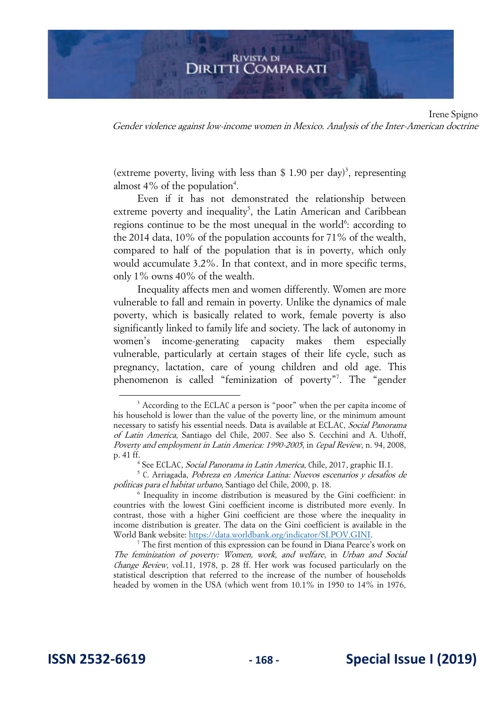

Irene Spigno Gender violence against low-income women in Mexico. Analysis of the Inter-American doctrine

(extreme poverty, living with less than \$ 1.90 per day)<sup>3</sup>, representing almost  $4\%$  of the population<sup>4</sup>.

Even if it has not demonstrated the relationship between extreme poverty and inequality<sup>5</sup>, the Latin American and Caribbean regions continue to be the most unequal in the world<sup>6</sup>: according to the 2014 data, 10% of the population accounts for 71% of the wealth, compared to half of the population that is in poverty, which only would accumulate 3.2%. In that context, and in more specific terms, only 1% owns 40% of the wealth.

Inequality affects men and women differently. Women are more vulnerable to fall and remain in poverty. Unlike the dynamics of male poverty, which is basically related to work, female poverty is also significantly linked to family life and society. The lack of autonomy in women's income-generating capacity makes them especially vulnerable, particularly at certain stages of their life cycle, such as pregnancy, lactation, care of young children and old age. This phenomenon is called "feminization of poverty"<sup>7</sup>. The "gender

<sup>&</sup>lt;sup>3</sup> According to the ECLAC a person is "poor" when the per capita income of his household is lower than the value of the poverty line, or the minimum amount necessary to satisfy his essential needs. Data is available at ECLAC, Social Panorama of Latin America, Santiago del Chile, 2007. See also S. Cecchini and A. Uthoff, Poverty and employment in Latin America: 1990-2005, in Cepal Review, n. 94, 2008, p. 41 ff.

<sup>&</sup>lt;sup>4</sup> See ECLAC, Social Panorama in Latin America, Chile, 2017, graphic II.1.

<sup>5</sup> C. Arriagada, Pobreza en Ame*́*rica Latina: Nuevos escenarios y desafi*́*os de poli*́*ticas para el ha*́*bitat urbano, Santiago del Chile, 2000, p. 18.

<sup>&</sup>lt;sup>6</sup> Inequality in income distribution is measured by the Gini coefficient: in countries with the lowest Gini coefficient income is distributed more evenly. In contrast, those with a higher Gini coefficient are those where the inequality in income distribution is greater. The data on the Gini coefficient is available in the World Bank website: [https://data.worldbank.org/indicator/SI.POV.GINI.](https://data.worldbank.org/indicator/SI.POV.GINI)

<sup>7</sup> The first mention of this expression can be found in Diana Pearce's work on The feminization of poverty: Women, work, and welfare, in Urban and Social Change Review, vol.11, 1978, p. 28 ff. Her work was focused particularly on the statistical description that referred to the increase of the number of households headed by women in the USA (which went from 10.1% in 1950 to 14% in 1976,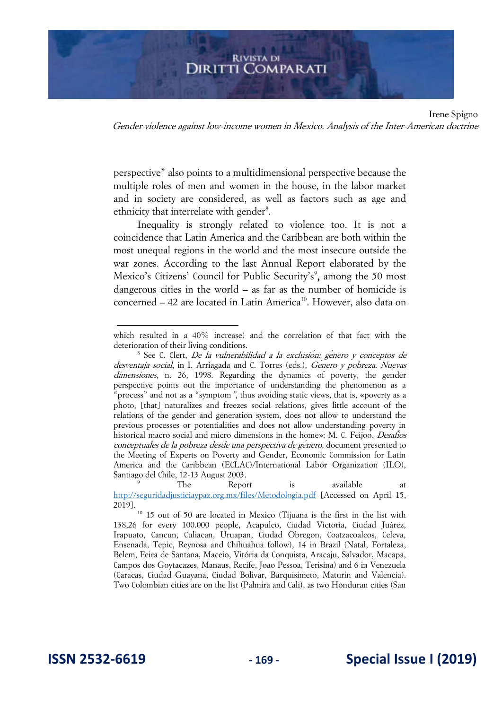

Irene Spigno Gender violence against low-income women in Mexico. Analysis of the Inter-American doctrine

perspective" also points to a multidimensional perspective because the multiple roles of men and women in the house, in the labor market and in society are considered, as well as factors such as age and ethnicity that interrelate with gender<sup>8</sup>.

Inequality is strongly related to violence too. It is not a coincidence that Latin America and the Caribbean are both within the most unequal regions in the world and the most insecure outside the war zones. According to the last Annual Report elaborated by the Mexico's Citizens' Council for Public Security's<sup>9</sup>, among the 50 most dangerous cities in the world – as far as the number of homicide is concerned – 42 are located in Latin America<sup>10</sup>. However, also data on

which resulted in a 40% increase) and the correlation of that fact with the deterioration of their living conditions.

<sup>8</sup> See C. Clert, De la vulnerabilidad a la exclusio*́*n: ge*́*nero y conceptos de desventaja social, in I. Arriagada and C. Torres (eds.), Ge*́*nero y pobreza. Nuevas dimensiones, n. 26, 1998. Regarding the dynamics of poverty, the gender perspective points out the importance of understanding the phenomenon as a "process" and not as a "symptom", thus avoiding static views, that is, «poverty as a photo, [that] naturalizes and freezes social relations, gives little account of the relations of the gender and generation system, does not allow to understand the previous processes or potentialities and does not allow understanding poverty in historical macro social and micro dimensions in the home»: M. C. Feijoó, Desafi*́*os <sup>c</sup>onceptuales de la pobreza desde una perspectiva de ge*́*nero, document presented to the Meeting of Experts on Poverty and Gender, Economic Commission for Latin America and the Caribbean (ECLAC)/International Labor Organization (ILO), Santiago del Chile, 12-13 August 2003.

<sup>9</sup> The Report is available at <http://seguridadjusticiaypaz.org.mx/files/Metodologia.pdf>[Accessed on April 15, 2019].

<sup>&</sup>lt;sup>10</sup> 15 out of 50 are located in Mexico (Tijuana is the first in the list with 138,26 for every 100.000 people, Acapulco, Ciudad Victoria, Ciudad Juárez, Irapuato, Cancun, Culiacan, Uruapan, Ciudad Obregon, Coatzacoalcos, Celeva, Ensenada, Tepic, Reynosa and Chihuahua follow), 14 in Brazil (Natal, Fortaleza, Belem, Feira de Santana, Maceio, Vitória da Conquista, Aracaju, Salvador, Macapa, Campos dos Goytacazes, Manaus, Recife, Joao Pessoa, Terisina) and 6 in Venezuela (Caracas, Ciudad Guayana, Ciudad Bolivar, Barquisimeto, Maturin and Valencia). Two Colombian cities are on the list (Palmira and Cali), as two Honduran cities (San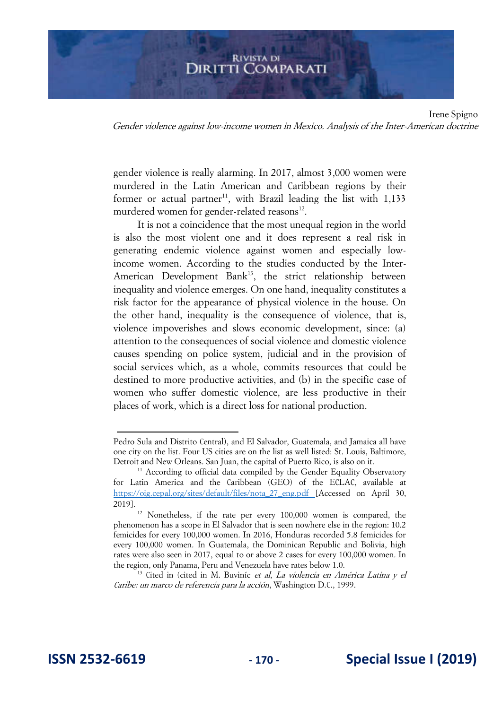

Irene Spigno Gender violence against low-income women in Mexico. Analysis of the Inter-American doctrine

gender violence is really alarming. In 2017, almost 3,000 women were murdered in the Latin American and Caribbean regions by their former or actual partner<sup>11</sup>, with Brazil leading the list with  $1,133$ murdered women for gender-related reasons<sup>12</sup>.

It is not a coincidence that the most unequal region in the world is also the most violent one and it does represent a real risk in generating endemic violence against women and especially lowincome women. According to the studies conducted by the Inter-American Development Bank<sup>13</sup>, the strict relationship between inequality and violence emerges. On one hand, inequality constitutes a risk factor for the appearance of physical violence in the house. On the other hand, inequality is the consequence of violence, that is, violence impoverishes and slows economic development, since: (a) attention to the consequences of social violence and domestic violence causes spending on police system, judicial and in the provision of social services which, as a whole, commits resources that could be destined to more productive activities, and (b) in the specific case of women who suffer domestic violence, are less productive in their places of work, which is a direct loss for national production.

Pedro Sula and Distrito Central), and El Salvador, Guatemala, and Jamaica all have one city on the list. Four US cities are on the list as well listed: St. Louis, Baltimore, Detroit and New Orleans. San Juan, the capital of Puerto Rico, is also on it.

<sup>&</sup>lt;sup>11</sup> According to official data compiled by the Gender Equality Observatory for Latin America and the Caribbean (GEO) of the ECLAC, available at [https://oig.cepal.org/sites/default/files/nota\\_27\\_eng.pdf](https://oig.cepal.org/sites/default/files/nota_27_eng.pdf) [Accessed on April 30, 2019].

 $12$  Nonetheless, if the rate per every 100,000 women is compared, the phenomenon has a scope in El Salvador that is seen nowhere else in the region: 10.2 femicides for every 100,000 women. In 2016, Honduras recorded 5.8 femicides for every 100,000 women. In Guatemala, the Dominican Republic and Bolivia, high rates were also seen in 2017, equal to or above 2 cases for every 100,000 women. In the region, only Panama, Peru and Venezuela have rates below 1.0.

<sup>&</sup>lt;sup>13</sup> Cited in (cited in M. Buviníc et al, La violencia en América Latina y el Caribe: un marco de referencia para la acción, Washington D.C., 1999.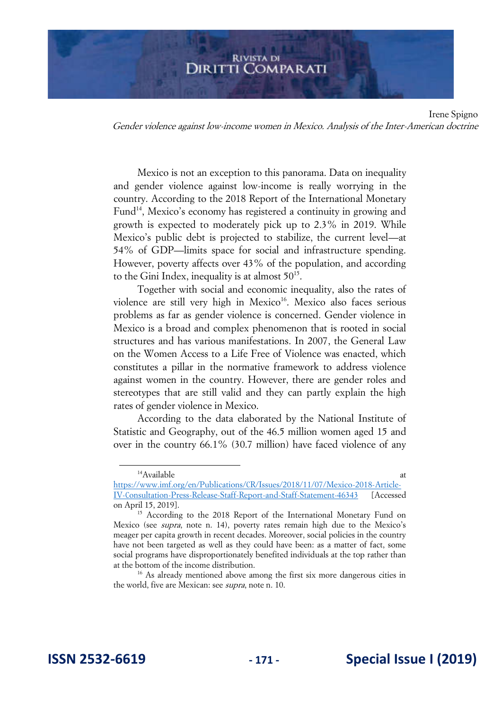Irene Spigno Gender violence against low-income women in Mexico. Analysis of the Inter-American doctrine

Mexico is not an exception to this panorama. Data on inequality and gender violence against low-income is really worrying in the country. According to the 2018 Report of the International Monetary Fund<sup>14</sup>, Mexico's economy has registered a continuity in growing and growth is expected to moderately pick up to 2.3% in 2019. While Mexico's public debt is projected to stabilize, the current level—at 54% of GDP—limits space for social and infrastructure spending. However, poverty affects over 43% of the population, and according to the Gini Index, inequality is at almost  $50^{15}$ .

Together with social and economic inequality, also the rates of violence are still very high in Mexico<sup>16</sup>. Mexico also faces serious problems as far as gender violence is concerned. Gender violence in Mexico is a broad and complex phenomenon that is rooted in social structures and has various manifestations. In 2007, the General Law on the Women Access to a Life Free of Violence was enacted, which constitutes a pillar in the normative framework to address violence against women in the country. However, there are gender roles and stereotypes that are still valid and they can partly explain the high rates of gender violence in Mexico.

According to the data elaborated by the National Institute of Statistic and Geography, out of the 46.5 million women aged 15 and over in the country 66.1% (30.7 million) have faced violence of any

<sup>16</sup> As already mentioned above among the first six more dangerous cities in the world, five are Mexican: see supra, note n. 10.

<sup>&</sup>lt;sup>14</sup>Available at [https://www.imf.org/en/Publications/CR/Issues/2018/11/07/Mexico-2018-Article-](https://www.imf.org/en/Publications/CR/Issues/2018/11/07/Mexico-2018-Article-IV-Consultation-Press-Release-Staff-Report-and-Staff-Statement-46343)[IV-Consultation-Press-Release-Staff-Report-and-Staff-Statement-46343](https://www.imf.org/en/Publications/CR/Issues/2018/11/07/Mexico-2018-Article-IV-Consultation-Press-Release-Staff-Report-and-Staff-Statement-46343) [Accessed on April 15, 2019].

<sup>&</sup>lt;sup>15</sup> According to the 2018 Report of the International Monetary Fund on Mexico (see supra, note n. 14), poverty rates remain high due to the Mexico's meager per capita growth in recent decades. Moreover, social policies in the country have not been targeted as well as they could have been: as a matter of fact, some social programs have disproportionately benefited individuals at the top rather than at the bottom of the income distribution.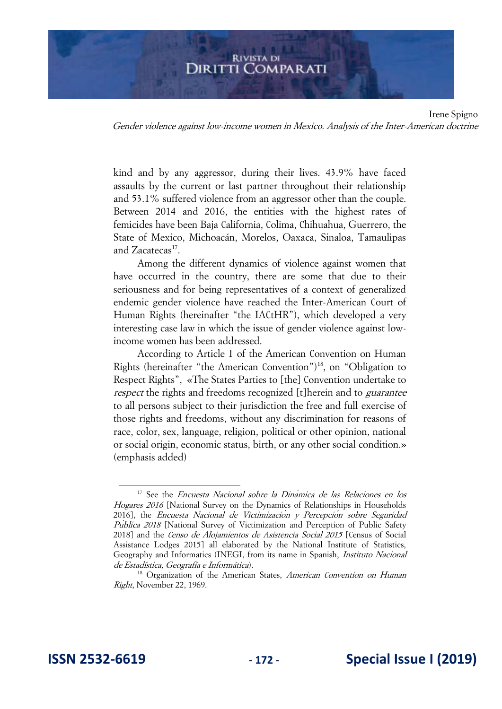Irene Spigno Gender violence against low-income women in Mexico. Analysis of the Inter-American doctrine

kind and by any aggressor, during their lives. 43.9% have faced assaults by the current or last partner throughout their relationship and 53.1% suffered violence from an aggressor other than the couple. Between 2014 and 2016, the entities with the highest rates of femicides have been Baja California, Colima, Chihuahua, Guerrero, the State of Mexico, Michoacán, Morelos, Oaxaca, Sinaloa, Tamaulipas and Zacatecas<sup>17</sup>.

Among the different dynamics of violence against women that have occurred in the country, there are some that due to their seriousness and for being representatives of a context of generalized endemic gender violence have reached the Inter-American Court of Human Rights (hereinafter "the IACtHR"), which developed a very interesting case law in which the issue of gender violence against lowincome women has been addressed.

According to Article 1 of the American Convention on Human Rights (hereinafter "the American Convention")<sup>18</sup>, on "Obligation to Respect Rights", «The States Parties to [the] Convention undertake to respect the rights and freedoms recognized [t] herein and to *guarantee* to all persons subject to their jurisdiction the free and full exercise of those rights and freedoms, without any discrimination for reasons of race, color, sex, language, religion, political or other opinion, national or social origin, economic status, birth, or any other social condition.» (emphasis added)

<sup>&</sup>lt;sup>17</sup> See the *Encuesta Nacional sobre la Dinamica de las Relaciones en los* Hogares 2016 [National Survey on the Dynamics of Relationships in Households 2016], the Encuesta Nacional de Victimizacio*́*n y Percepcio*́*n sobre Seguridad Pu*́*blica 2018 [National Survey of Victimization and Perception of Public Safety 2018] and the Censo de Alojamientos de Asistencia Social 2015 [Census of Social Assistance Lodges 2015] all elaborated by the National Institute of Statistics, Geography and Informatics (INEGI, from its name in Spanish, Instituto Nacional de Estadística, Geografía e Informática).

<sup>&</sup>lt;sup>18</sup> Organization of the American States, American Convention on Human Right, November 22, 1969.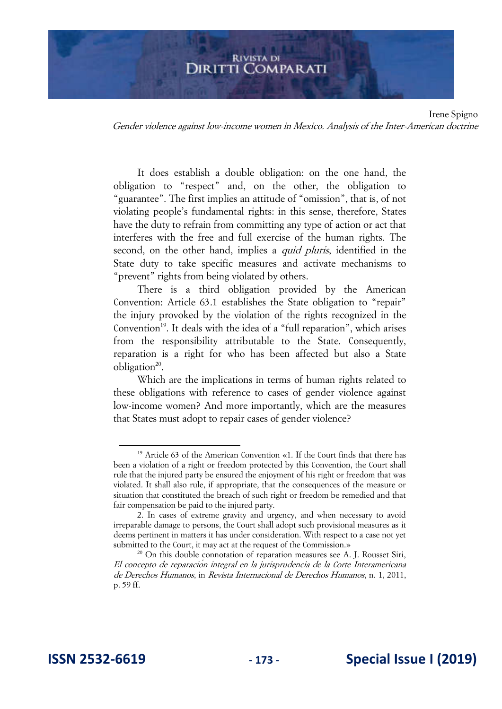Irene Spigno Gender violence against low-income women in Mexico. Analysis of the Inter-American doctrine

It does establish a double obligation: on the one hand, the obligation to "respect" and, on the other, the obligation to "guarantee". The first implies an attitude of "omission", that is, of not violating people's fundamental rights: in this sense, therefore, States have the duty to refrain from committing any type of action or act that interferes with the free and full exercise of the human rights. The second, on the other hand, implies a *quid pluris*, identified in the State duty to take specific measures and activate mechanisms to "prevent" rights from being violated by others.

There is a third obligation provided by the American Convention: Article 63.1 establishes the State obligation to "repair" the injury provoked by the violation of the rights recognized in the Convention<sup>19</sup>. It deals with the idea of a "full reparation", which arises from the responsibility attributable to the State. Consequently, reparation is a right for who has been affected but also a State  $obligation<sup>20</sup>$ .

Which are the implications in terms of human rights related to these obligations with reference to cases of gender violence against low-income women? And more importantly, which are the measures that States must adopt to repair cases of gender violence?

<sup>&</sup>lt;sup>19</sup> Article 63 of the American Convention «1. If the Court finds that there has been a violation of a right or freedom protected by this Convention, the Court shall rule that the injured party be ensured the enjoyment of his right or freedom that was violated. It shall also rule, if appropriate, that the consequences of the measure or situation that constituted the breach of such right or freedom be remedied and that fair compensation be paid to the injured party.

<sup>2.</sup> In cases of extreme gravity and urgency, and when necessary to avoid irreparable damage to persons, the Court shall adopt such provisional measures as it deems pertinent in matters it has under consideration. With respect to a case not yet submitted to the Court, it may act at the request of the Commission.»

 $20$  On this double connotation of reparation measures see A. J. Rousset Siri, El concepto de reparacio*́*n integral en la jurisprudencia de la Corte Interamericana de Derechos Humanos, in Revista Internacional de Derechos Humanos, n. 1, 2011, p. 59 ff.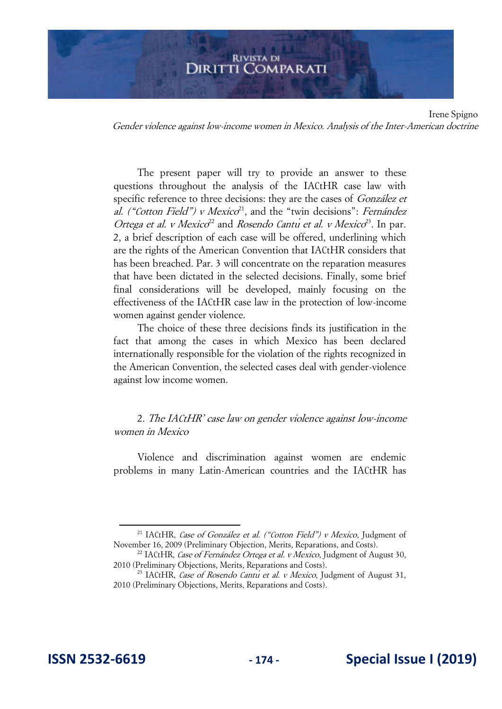Irene Spigno Gender violence against low-income women in Mexico. Analysis of the Inter-American doctrine

The present paper will try to provide an answer to these questions throughout the analysis of the IACtHR case law with specific reference to three decisions: they are the cases of *González et* al. ("Cotton Field") v Mexico<sup>21</sup>, and the "twin decisions": Fernández Ortega et al. *v* Mexico<sup>22</sup> and Rosendo Cantu<sup>*n*</sup> et al. *v* Mexico<sup>23</sup>. In par. 2, a brief description of each case will be offered, underlining which are the rights of the American Convention that IACtHR considers that has been breached. Par. 3 will concentrate on the reparation measures that have been dictated in the selected decisions. Finally, some brief final considerations will be developed, mainly focusing on the effectiveness of the IACtHR case law in the protection of low-income women against gender violence.

The choice of these three decisions finds its justification in the fact that among the cases in which Mexico has been declared internationally responsible for the violation of the rights recognized in the American Convention, the selected cases deal with gender-violence against low income women.

2. The IACtHR' case law on gender violence against low-income women in Mexico

Violence and discrimination against women are endemic problems in many Latin-American countries and the IACtHR has

<sup>&</sup>lt;sup>21</sup> IACtHR, Case of González et al. ("Cotton Field") v Mexico, Judgment of November 16, 2009 (Preliminary Objection, Merits, Reparations, and Costs).

<sup>&</sup>lt;sup>22</sup> IACtHR, Case of Fernández Ortega et al. v Mexico, Judgment of August 30, 2010 (Preliminary Objections, Merits, Reparations and Costs).

<sup>&</sup>lt;sup>23</sup> IACtHR, Case of Rosendo Cantu<sup>*i*</sup> et al. v Mexico, Judgment of August 31, 2010 (Preliminary Objections, Merits, Reparations and Costs).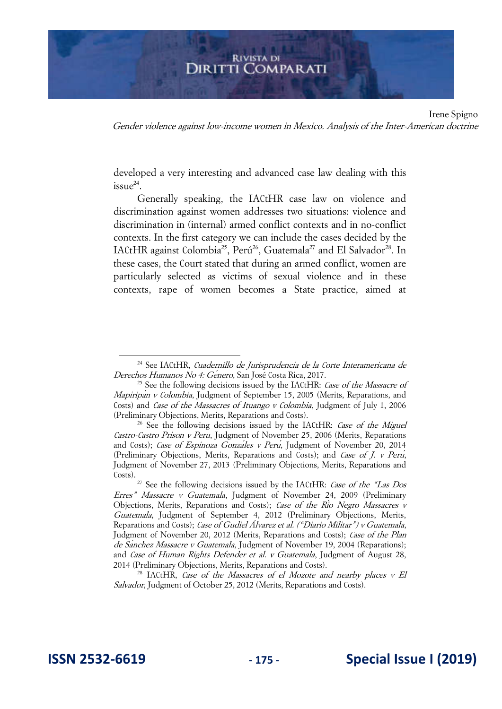

Irene Spigno Gender violence against low-income women in Mexico. Analysis of the Inter-American doctrine

developed a very interesting and advanced case law dealing with this  $i$ ssue $^{24}$ .

Generally speaking, the IACtHR case law on violence and discrimination against women addresses two situations: violence and discrimination in (internal) armed conflict contexts and in no-conflict contexts. In the first category we can include the cases decided by the IACtHR against Colombia<sup>25</sup>, Perú<sup>26</sup>, Guatemala<sup>27</sup> and El Salvador<sup>28</sup>. In these cases, the Court stated that during an armed conflict, women are particularly selected as victims of sexual violence and in these contexts, rape of women becomes a State practice, aimed at

 $28$  IACtHR, Case of the Massacres of el Mozote and nearby places v El Salvador, Judgment of October 25, 2012 (Merits, Reparations and Costs).

<sup>24</sup> See IACtHR, Cuadernillo de Jurisprudencia de la Corte Interamericana de Derechos Humanos No 4: Ge*́*nero, San José Costa Rica, 2017.

<sup>&</sup>lt;sup>25</sup> See the following decisions issued by the IACtHR: *Case of the Massacre of* Mapiripa*́*n v Colombia, Judgment of September 15, 2005 (Merits, Reparations, and Costs) and Case of the Massacres of Ituango v Colombia, Judgment of July 1, 2006 (Preliminary Objections, Merits, Reparations and Costs).

 $26$  See the following decisions issued by the IACtHR: Case of the Miguel Castro-Castro Prison v Peru, Judgment of November 25, 2006 (Merits, Reparations and Costs); Case of Espinoza Gonza*́*les v Peru*́*, Judgment of November 20, 2014 (Preliminary Objections, Merits, Reparations and Costs); and Case of J. v Peru*́*, Judgment of November 27, 2013 (Preliminary Objections, Merits, Reparations and Costs).

<sup>&</sup>lt;sup>27</sup> See the following decisions issued by the IACtHR: *Case of the "Las Dos* Erres" Massacre v Guatemala, Judgment of November 24, 2009 (Preliminary Objections, Merits, Reparations and Costs); Case of the Ri*́*o Negro Massacres v Guatemala, Judgment of September 4, 2012 (Preliminary Objections, Merits, Reparations and Costs); Case of Gudiel A*́*lvarez et al. ("Diario Militar") v Guatemala, Judgment of November 20, 2012 (Merits, Reparations and Costs); Case of the Plan de Sanchez Massacre v Guatemala, Judgment of November 19, 2004 (Reparations); and Case of Human Rights Defender et al. v Guatemala, Judgment of August 28, 2014 (Preliminary Objections, Merits, Reparations and Costs).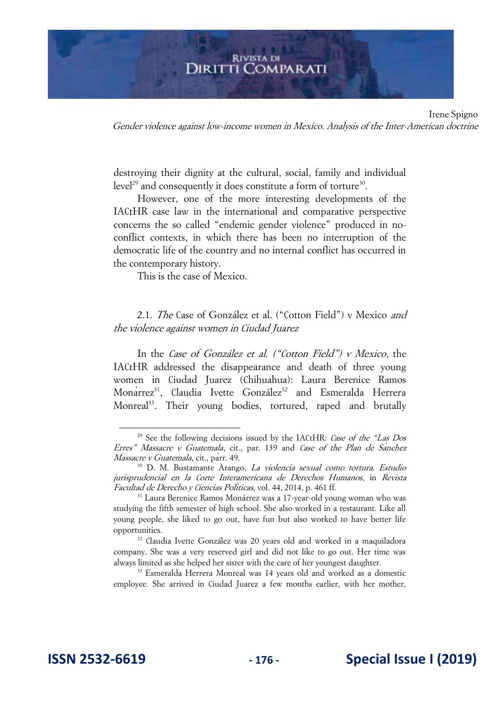

Irene Spigno Gender violence against low-income women in Mexico. Analysis of the Inter-American doctrine

destroying their dignity at the cultural, social, family and individual level<sup>29</sup> and consequently it does constitute a form of torture<sup>30</sup>.

However, one of the more interesting developments of the IACtHR case law in the international and comparative perspective concerns the so called "endemic gender violence" produced in noconflict contexts, in which there has been no interruption of the democratic life of the country and no internal conflict has occurred in the contemporary history.

This is the case of Mexico.

2.1. The Case of González et al. ("Cotton Field") v Mexico and the violence against women in Ciudad Juarez

In the Case of González et al. ("Cotton Field") v Mexico, the IACtHR addressed the disappearance and death of three young women in Ciudad Juarez (Chihuahua): Laura Berenice Ramos Monarrez<sup>31</sup>, Claudia Ivette González<sup>32</sup> and Esmeralda Herrera Monreal<sup>33</sup>. Their young bodies, tortured, raped and brutally

<sup>&</sup>lt;sup>29</sup> See the following decisions issued by the IACtHR: *Case of the "Las Dos* Erres" Massacre v Guatemala, cit., par. 139 and Case of the Plan de Sa*́*nchez Massacre v Guatemala, cit., párr. 49.

<sup>30</sup> D. M. Bustamante Arango, La violencia sexual como tortura. Estudio jurisprudencial en la Corte Interamericana de Derechos Humanos, in Revista Facultad de Derecho y Ciencias Poli*́*ticas, vol. 44, 2014, p. 461 ff.

<sup>31</sup> Laura Berenice Ramos Monárrez was a 17-year-old young woman who was studying the fifth semester of high school. She also worked in a restaurant. Like all young people, she liked to go out, have fun but also worked to have better life opportunities.

<sup>&</sup>lt;sup>32</sup> Claudia Ivette González was 20 vears old and worked in a maquiladora company. She was a very reserved girl and did not like to go out. Her time was always limited as she helped her sister with the care of her youngest daughter.

<sup>33</sup> Esmeralda Herrera Monreal was 14 years old and worked as a domestic employee. She arrived in Ciudad Juarez a few months earlier, with her mother,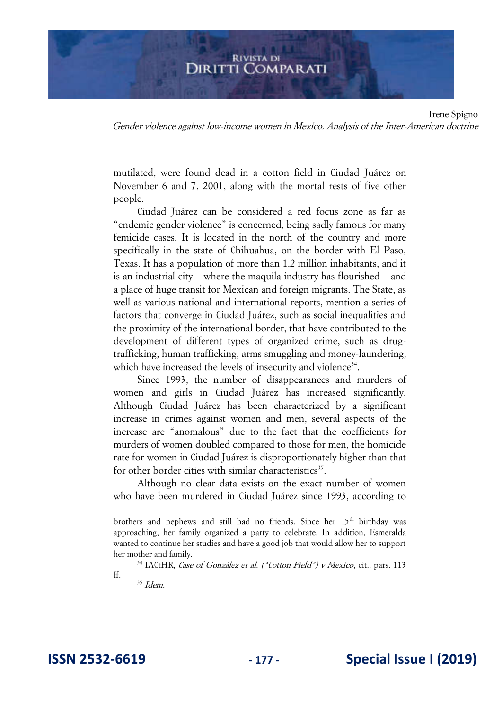

Irene Spigno Gender violence against low-income women in Mexico. Analysis of the Inter-American doctrine

mutilated, were found dead in a cotton field in Ciudad Juárez on November 6 and 7, 2001, along with the mortal rests of five other people.

Ciudad Juárez can be considered a red focus zone as far as "endemic gender violence" is concerned, being sadly famous for many femicide cases. It is located in the north of the country and more specifically in the state of Chihuahua, on the border with El Paso, Texas. It has a population of more than 1.2 million inhabitants, and it is an industrial city – where the maquila industry has flourished – and a place of huge transit for Mexican and foreign migrants. The State, as well as various national and international reports, mention a series of factors that converge in Ciudad Juárez, such as social inequalities and the proximity of the international border, that have contributed to the development of different types of organized crime, such as drugtrafficking, human trafficking, arms smuggling and money-laundering, which have increased the levels of insecurity and violence<sup>34</sup>.

Since 1993, the number of disappearances and murders of women and girls in Ciudad Juárez has increased significantly. Although Ciudad Juárez has been characterized by a significant increase in crimes against women and men, several aspects of the increase are "anomalous" due to the fact that the coefficients for murders of women doubled compared to those for men, the homicide rate for women in Ciudad Juárez is disproportionately higher than that for other border cities with similar characteristics<sup>35</sup>.

Although no clear data exists on the exact number of women who have been murdered in Ciudad Juárez since 1993, according to

brothers and nephews and still had no friends. Since her 15<sup>th</sup> birthday was approaching, her family organized a party to celebrate. In addition, Esmeralda wanted to continue her studies and have a good job that would allow her to support her mother and family.

<sup>&</sup>lt;sup>34</sup> IACtHR, Case of González et al. ("Cotton Field") v Mexico, cit., pars. 113 ff.

 $35$  *Idem.*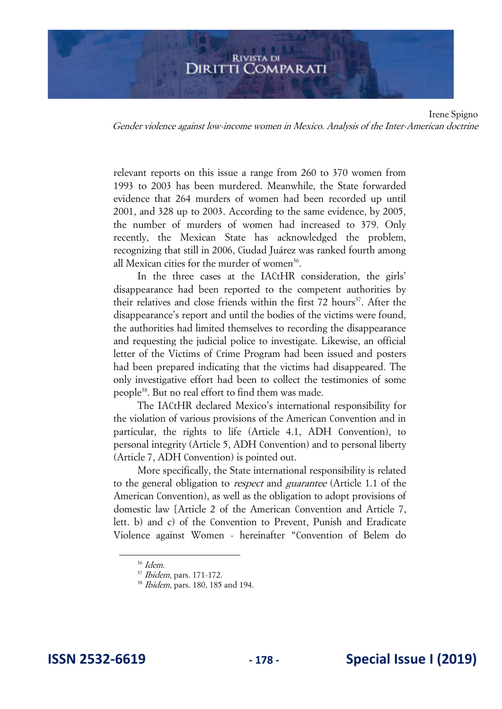Irene Spigno Gender violence against low-income women in Mexico. Analysis of the Inter-American doctrine

relevant reports on this issue a range from 260 to 370 women from 1993 to 2003 has been murdered. Meanwhile, the State forwarded evidence that 264 murders of women had been recorded up until 2001, and 328 up to 2003. According to the same evidence, by 2005, the number of murders of women had increased to 379. Only recently, the Mexican State has acknowledged the problem, recognizing that still in 2006, Ciudad Juárez was ranked fourth among all Mexican cities for the murder of women<sup>36</sup>.

In the three cases at the IACtHR consideration, the girls' disappearance had been reported to the competent authorities by their relatives and close friends within the first  $72$  hours<sup>37</sup>. After the disappearance's report and until the bodies of the victims were found, the authorities had limited themselves to recording the disappearance and requesting the judicial police to investigate. Likewise, an official letter of the Victims of Crime Program had been issued and posters had been prepared indicating that the victims had disappeared. The only investigative effort had been to collect the testimonies of some people<sup>38</sup>. But no real effort to find them was made.

The IACtHR declared Mexico's international responsibility for the violation of various provisions of the American Convention and in particular, the rights to life (Article 4.1, ADH Convention), to personal integrity (Article 5, ADH Convention) and to personal liberty (Article 7, ADH Convention) is pointed out.

More specifically, the State international responsibility is related to the general obligation to respect and guarantee (Article 1.1 of the American Convention), as well as the obligation to adopt provisions of domestic law [Article 2 of the American Convention and Article 7, lett. b) and c) of the Convention to Prevent, Punish and Eradicate Violence against Women - hereinafter "Convention of Belem do

<sup>36</sup> Idem.

<sup>&</sup>lt;sup>37</sup> Ibidem, pars. 171-172.

<sup>38</sup> Ibidem, pars. 180, 185 and 194.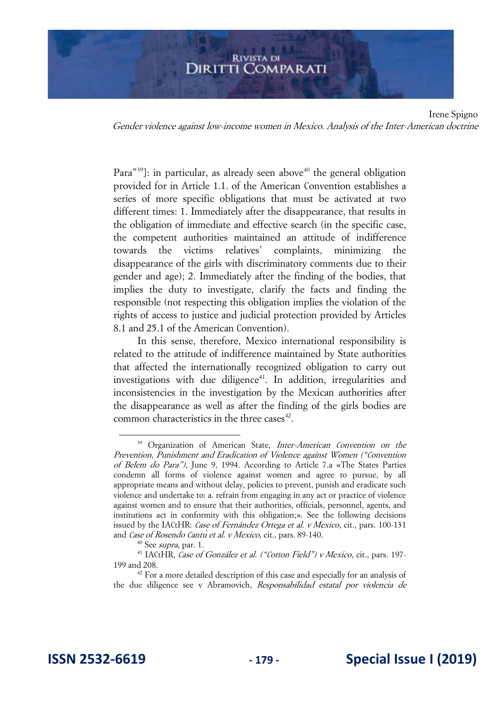Irene Spigno Gender violence against low-income women in Mexico. Analysis of the Inter-American doctrine

Para<sup>"39</sup>]: in particular, as already seen above<sup>40</sup> the general obligation provided for in Article 1.1. of the American Convention establishes a series of more specific obligations that must be activated at two different times: 1. Immediately after the disappearance, that results in the obligation of immediate and effective search (in the specific case, the competent authorities maintained an attitude of indifference towards the victims relatives' complaints, minimizing the disappearance of the girls with discriminatory comments due to their gender and age); 2. Immediately after the finding of the bodies, that implies the duty to investigate, clarify the facts and finding the responsible (not respecting this obligation implies the violation of the rights of access to justice and judicial protection provided by Articles 8.1 and 25.1 of the American Convention).

In this sense, therefore, Mexico international responsibility is related to the attitude of indifference maintained by State authorities that affected the internationally recognized obligation to carry out investigations with due diligence<sup>41</sup>. In addition, irregularities and inconsistencies in the investigation by the Mexican authorities after the disappearance as well as after the finding of the girls bodies are common characteristics in the three cases<sup>42</sup>.

<sup>&</sup>lt;sup>39</sup> Organization of American State, *Inter-American Convention on the* Prevention, Punishment and Eradication of Violence against Women ("Convention of Belem do Para"), June 9, 1994. According to Article 7.a «The States Parties condemn all forms of violence against women and agree to pursue, by all appropriate means and without delay, policies to prevent, punish and eradicate such violence and undertake to: a. refrain from engaging in any act or practice of violence against women and to ensure that their authorities, officials, personnel, agents, and institutions act in conformity with this obligation;». See the following decisions issued by the IACtHR: Case of Fernández Ortega et al. v Mexico, cit., pars. 100-131 and Case of Rosendo Cantu*́* et al. v Mexico, cit., pars. 89-140.

<sup>&</sup>lt;sup>40</sup> See *supra*, par. 1.

<sup>&</sup>lt;sup>41</sup> IACtHR, Case of González et al. ("Cotton Field") v Mexico, cit., pars. 197-199 and 208.

<sup>&</sup>lt;sup>42</sup> For a more detailed description of this case and especially for an analysis of the due diligence see v Abramovich, Responsabilidad estatal por violencia de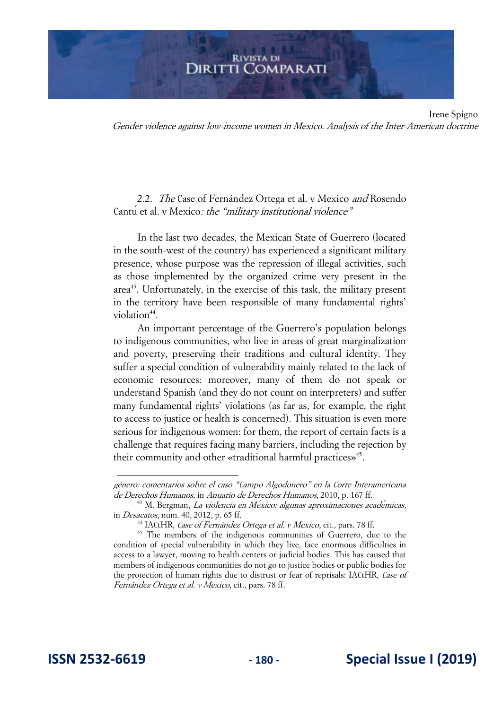Irene Spigno Gender violence against low-income women in Mexico. Analysis of the Inter-American doctrine

### 2.2. *The* Case of Fernández Ortega et al. v Mexico *and* Rosendo Cantu et al. v Mexico: the "military institutional violence"

In the last two decades, the Mexican State of Guerrero (located in the south-west of the country) has experienced a significant military presence, whose purpose was the repression of illegal activities, such as those implemented by the organized crime very present in the  $area<sup>43</sup>$ . Unfortunately, in the exercise of this task, the military present in the territory have been responsible of many fundamental rights' violation<sup>44</sup>.

An important percentage of the Guerrero's population belongs to indigenous communities, who live in areas of great marginalization and poverty, preserving their traditions and cultural identity. They suffer a special condition of vulnerability mainly related to the lack of economic resources: moreover, many of them do not speak or understand Spanish (and they do not count on interpreters) and suffer many fundamental rights' violations (as far as, for example, the right to access to justice or health is concerned). This situation is even more serious for indigenous women: for them, the report of certain facts is a challenge that requires facing many barriers, including the rejection by their community and other «traditional harmful practices»<sup>45</sup>.

género: comentarios sobre el caso "Campo Algodonero" en la Corte Interamericana de Derechos Humanos, in Anuario de Derechos Humanos, 2010, p. 167 ff.

<sup>43</sup> M. Bergman, La violencia en Me*́*xico: algunas aproximaciones acade*́*micas, in Desacatos, núm. 40, 2012, p. 65 ff.

<sup>&</sup>lt;sup>44</sup> IACtHR, Case of Fernández Ortega et al. v Mexico, cit., pars. 78 ff.

<sup>&</sup>lt;sup>45</sup> The members of the indigenous communities of Guerrero, due to the condition of special vulnerability in which they live, face enormous difficulties in access to a lawyer, moving to health centers or judicial bodies. This has caused that members of indigenous communities do not go to justice bodies or public bodies for the protection of human rights due to distrust or fear of reprisals: IACtHR, Case of Fernández Ortega et al. v Mexico, cit., pars. 78 ff.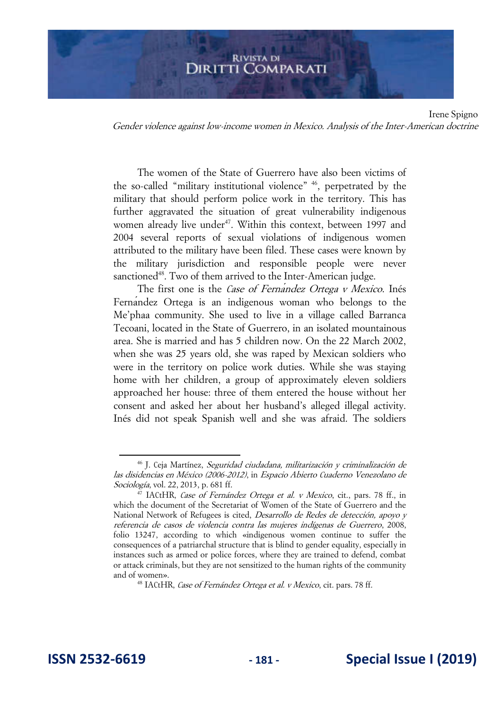Irene Spigno Gender violence against low-income women in Mexico. Analysis of the Inter-American doctrine

The women of the State of Guerrero have also been victims of the so-called "military institutional violence" <sup>46</sup>, perpetrated by the military that should perform police work in the territory. This has further aggravated the situation of great vulnerability indigenous women already live under<sup>47</sup>. Within this context, between 1997 and 2004 several reports of sexual violations of indigenous women attributed to the military have been filed. These cases were known by the military jurisdiction and responsible people were never sanctioned<sup>48</sup>. Two of them arrived to the Inter-American judge.

The first one is the *Case of Fernandez Ortega v Mexico*. Inés Fernández Ortega is an indigenous woman who belongs to the Me'phaa community. She used to live in a village called Barranca Tecoani, located in the State of Guerrero, in an isolated mountainous area. She is married and has 5 children now. On the 22 March 2002, when she was 25 years old, she was raped by Mexican soldiers who were in the territory on police work duties. While she was staying home with her children, a group of approximately eleven soldiers approached her house: three of them entered the house without her consent and asked her about her husband's alleged illegal activity. Inés did not speak Spanish well and she was afraid. The soldiers

<sup>46</sup> J. Ceja Martínez, Seguridad ciudadana, militarización y criminalización de las disidencias en México (2006-2012), in Espacio Abierto Cuaderno Venezolano de Sociología, vol. 22, 2013, p. 681 ff.

 $^{47}$  IACtHR, Case of Fernández Ortega et al. v Mexico, cit., pars. 78 ff., in which the document of the Secretariat of Women of the State of Guerrero and the National Network of Refugees is cited, *Desarrollo de Redes de detección, apovo v* referencia de casos de violencia contra las mujeres indígenas de Guerrero, 2008, folio 13247, according to which «indigenous women continue to suffer the consequences of a patriarchal structure that is blind to gender equality, especially in instances such as armed or police forces, where they are trained to defend, combat or attack criminals, but they are not sensitized to the human rights of the community and of women».

<sup>&</sup>lt;sup>48</sup> IACtHR, Case of Fernández Ortega et al. v Mexico, cit. pars. 78 ff.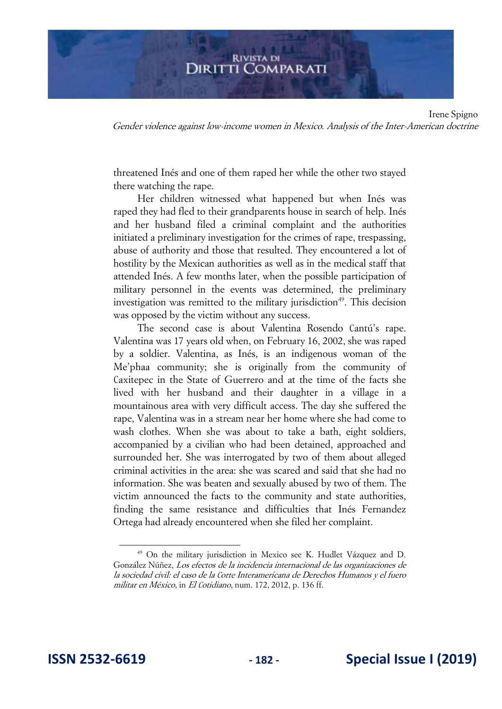

Irene Spigno Gender violence against low-income women in Mexico. Analysis of the Inter-American doctrine

threatened Inés and one of them raped her while the other two stayed there watching the rape.

Her children witnessed what happened but when Inés was raped they had fled to their grandparents house in search of help. Inés and her husband filed a criminal complaint and the authorities initiated a preliminary investigation for the crimes of rape, trespassing, abuse of authority and those that resulted. They encountered a lot of hostility by the Mexican authorities as well as in the medical staff that attended Inés. A few months later, when the possible participation of military personnel in the events was determined, the preliminary investigation was remitted to the military jurisdiction<sup>49</sup>. This decision was opposed by the victim without any success.

The second case is about Valentina Rosendo Cantú's rape. Valentina was 17 years old when, on February 16, 2002, she was raped by a soldier. Valentina, as Inés, is an indigenous woman of the Me'phaa community; she is originally from the community of Caxitepec in the State of Guerrero and at the time of the facts she lived with her husband and their daughter in a village in a mountainous area with very difficult access. The day she suffered the rape, Valentina was in a stream near her home where she had come to wash clothes. When she was about to take a bath, eight soldiers, accompanied by a civilian who had been detained, approached and surrounded her. She was interrogated by two of them about alleged criminal activities in the area: she was scared and said that she had no information. She was beaten and sexually abused by two of them. The victim announced the facts to the community and state authorities, finding the same resistance and difficulties that Inés Fernandez Ortega had already encountered when she filed her complaint.

<sup>49</sup> On the military jurisdiction in Mexico see K. Hudlet Vázquez and D. González Núñez, Los efectos de la incidencia internacional de las organizaciones de la sociedad civil: el caso de la Corte Interamericana de Derechos Humanos y el fuero militar en México, in El Cotidiano, num. 172, 2012, p. 136 ff.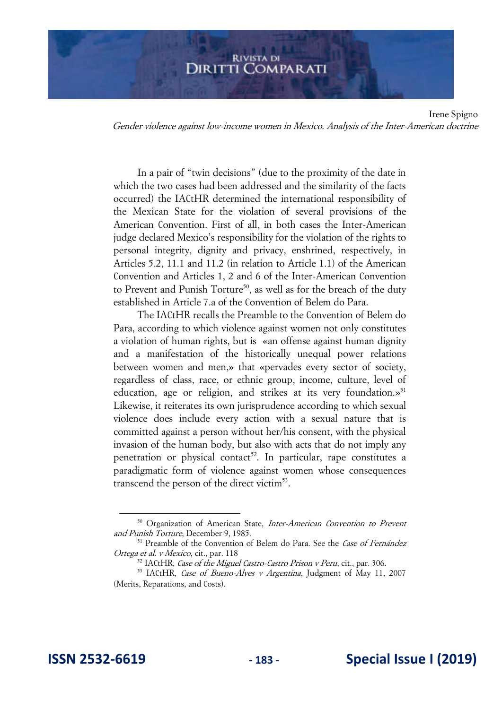Irene Spigno Gender violence against low-income women in Mexico. Analysis of the Inter-American doctrine

In a pair of "twin decisions" (due to the proximity of the date in which the two cases had been addressed and the similarity of the facts occurred) the IACtHR determined the international responsibility of the Mexican State for the violation of several provisions of the American Convention. First of all, in both cases the Inter-American judge declared Mexico's responsibility for the violation of the rights to personal integrity, dignity and privacy, enshrined, respectively, in Articles 5.2, 11.1 and 11.2 (in relation to Article 1.1) of the American Convention and Articles 1, 2 and 6 of the Inter-American Convention to Prevent and Punish Torture<sup>50</sup>, as well as for the breach of the duty established in Article 7.a of the Convention of Belem do Para.

The IACtHR recalls the Preamble to the Convention of Belem do Para, according to which violence against women not only constitutes a violation of human rights, but is «an offense against human dignity and a manifestation of the historically unequal power relations between women and men,» that «pervades every sector of society, regardless of class, race, or ethnic group, income, culture, level of education, age or religion, and strikes at its very foundation. $s<sup>51</sup>$ Likewise, it reiterates its own jurisprudence according to which sexual violence does include every action with a sexual nature that is committed against a person without her/his consent, with the physical invasion of the human body, but also with acts that do not imply any penetration or physical contact<sup>52</sup>. In particular, rape constitutes a paradigmatic form of violence against women whose consequences transcend the person of the direct victim<sup>53</sup>.

<sup>&</sup>lt;sup>50</sup> Organization of American State, *Inter-American Convention to Prevent* and Punish Torture, December 9, 1985.

<sup>&</sup>lt;sup>51</sup> Preamble of the Convention of Belem do Para. See the Case of Fernández Ortega et al. v Mexico, cit., par. 118

<sup>&</sup>lt;sup>52</sup> IACtHR, Case of the Miguel Castro-Castro Prison v Peru, cit., par. 306.

<sup>&</sup>lt;sup>53</sup> IACtHR, Case of Bueno-Alves v Argentina, Judgment of May 11, 2007 (Merits, Reparations, and Costs).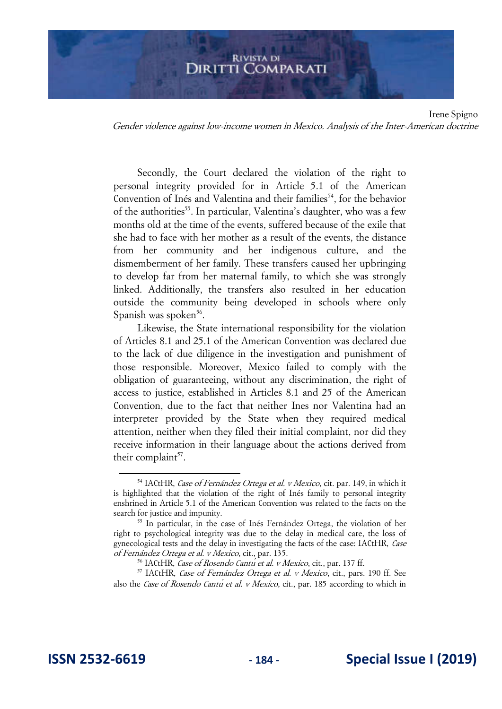Irene Spigno Gender violence against low-income women in Mexico. Analysis of the Inter-American doctrine

Secondly, the Court declared the violation of the right to personal integrity provided for in Article 5.1 of the American Convention of Inés and Valentina and their families<sup>54</sup>, for the behavior of the authorities<sup>55</sup>. In particular, Valentina's daughter, who was a few months old at the time of the events, suffered because of the exile that she had to face with her mother as a result of the events, the distance from her community and her indigenous culture, and the dismemberment of her family. These transfers caused her upbringing to develop far from her maternal family, to which she was strongly linked. Additionally, the transfers also resulted in her education outside the community being developed in schools where only Spanish was spoken<sup>56</sup>.

Likewise, the State international responsibility for the violation of Articles 8.1 and 25.1 of the American Convention was declared due to the lack of due diligence in the investigation and punishment of those responsible. Moreover, Mexico failed to comply with the obligation of guaranteeing, without any discrimination, the right of access to justice, established in Articles 8.1 and 25 of the American Convention, due to the fact that neither Ines nor Valentina had an interpreter provided by the State when they required medical attention, neither when they filed their initial complaint, nor did they receive information in their language about the actions derived from their complaint<sup>57</sup>.

<sup>&</sup>lt;sup>54</sup> IACtHR, Case of Fernández Ortega et al. v Mexico, cit. par. 149, in which it is highlighted that the violation of the right of Inés family to personal integrity enshrined in Article 5.1 of the American Convention was related to the facts on the search for justice and impunity.

<sup>55</sup> In particular, in the case of Inés Fernández Ortega, the violation of her right to psychological integrity was due to the delay in medical care, the loss of gynecological tests and the delay in investigating the facts of the case: IACtHR, Case of Fernández Ortega et al. v Mexico, cit., par. 135.

<sup>56</sup> IACtHR, Case of Rosendo Cantu*́* et al. v Mexico, cit., par. 137 ff.

<sup>57</sup> IACtHR, Case of Fernández Ortega et al. v Mexico, cit., pars. 190 ff. See also the Case of Rosendo Cantu*́* et al. v Mexico, cit., par. 185 according to which in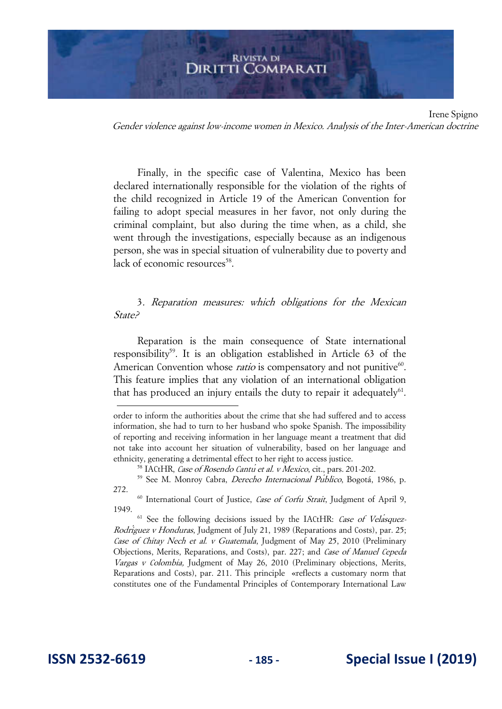Irene Spigno Gender violence against low-income women in Mexico. Analysis of the Inter-American doctrine

Finally, in the specific case of Valentina, Mexico has been declared internationally responsible for the violation of the rights of the child recognized in Article 19 of the American Convention for failing to adopt special measures in her favor, not only during the criminal complaint, but also during the time when, as a child, she went through the investigations, especially because as an indigenous person, she was in special situation of vulnerability due to poverty and lack of economic resources<sup>58</sup>.

### 3. Reparation measures: which obligations for the Mexican State?

Reparation is the main consequence of State international responsibility<sup>59</sup>. It is an obligation established in Article 63 of the American Convention whose *ratio* is compensatory and not punitive<sup>60</sup>. This feature implies that any violation of an international obligation that has produced an injury entails the duty to repair it adequately<sup>61</sup>.

order to inform the authorities about the crime that she had suffered and to access information, she had to turn to her husband who spoke Spanish. The impossibility of reporting and receiving information in her language meant a treatment that did not take into account her situation of vulnerability, based on her language and ethnicity, generating a detrimental effect to her right to access justice.

<sup>58</sup> IACtHR, Case of Rosendo Cantu*́* et al. v Mexico, cit., pars. 201-202.

<sup>59</sup> See M. Monroy Cabra, Derecho Internacional Pu*́*blico, Bogotá, 1986, p. 272.

<sup>&</sup>lt;sup>60</sup> International Court of Justice, *Case of Corfu Strait*, Judgment of April 9, 1949.

<sup>&</sup>lt;sup>61</sup> See the following decisions issued by the IACtHR: *Case of Vela<sup>squez-*</sup> Rodri*́*guez v Honduras, Judgment of July 21, 1989 (Reparations and Costs), par. 25; Case of Chitay Nech et al. v Guatemala, Judgment of May 25, 2010 (Preliminary Objections, Merits, Reparations, and Costs), par. 227; and Case of Manuel Cepeda Vargas v Colombia, Judgment of May 26, 2010 (Preliminary objections, Merits, Reparations and Costs), par. 211. This principle «reflects a customary norm that constitutes one of the Fundamental Principles of Contemporary International Law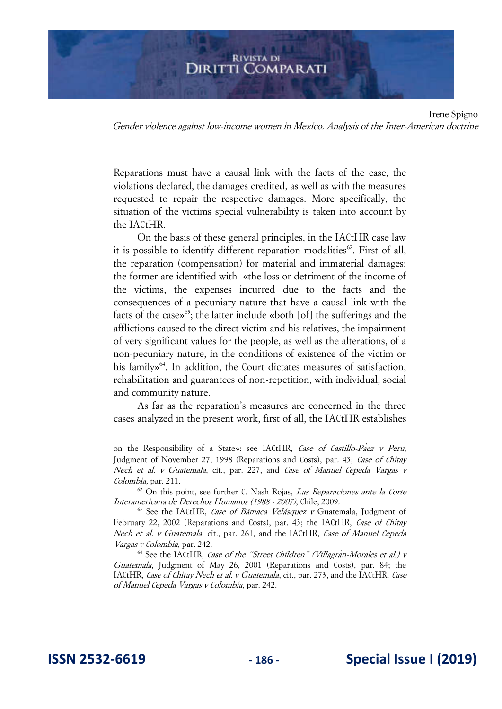

Gender violence against low-income women in Mexico. Analysis of the Inter-American doctrine

Reparations must have a causal link with the facts of the case, the violations declared, the damages credited, as well as with the measures requested to repair the respective damages. More specifically, the situation of the victims special vulnerability is taken into account by the IACtHR.

On the basis of these general principles, in the IACtHR case law it is possible to identify different reparation modalities<sup>62</sup>. First of all, the reparation (compensation) for material and immaterial damages: the former are identified with «the loss or detriment of the income of the victims, the expenses incurred due to the facts and the consequences of a pecuniary nature that have a causal link with the facts of the cases  $\mathfrak{s}^3$ ; the latter include «both [of] the sufferings and the afflictions caused to the direct victim and his relatives, the impairment of very significant values for the people, as well as the alterations, of a non-pecuniary nature, in the conditions of existence of the victim or his family»<sup>64</sup>. In addition, the Court dictates measures of satisfaction, rehabilitation and guarantees of non-repetition, with individual, social and community nature.

As far as the reparation's measures are concerned in the three cases analyzed in the present work, first of all, the IACtHR establishes

on the Responsibility of a State»: see IACtHR, Case of Castillo-Pa*́*ez v Peru, Judgment of November 27, 1998 (Reparations and Costs), par. 43; Case of Chitay Nech et al. v Guatemala, cit., par. 227, and Case of Manuel Cepeda Vargas v Colombia, par. 211.

 $62$  On this point, see further C. Nash Rojas, Las Reparaciones ante la Corte Interamericana de Derechos Humanos (1988 - 2007), Chile, 2009.

 $63$  See the IACtHR, Case of Bámaca Velásquez v Guatemala, Judgment of February 22, 2002 (Reparations and Costs), par. 43; the IACtHR, Case of Chitay Nech et al. v Guatemala, cit., par. 261, and the IACtHR, Case of Manuel Cepeda Vargas v Colombia, par. 242.

<sup>64</sup> See the IACtHR, Case of the "Street Children" (Villagra*́*n-Morales et al.) v Guatemala, Judgment of May 26, 2001 (Reparations and Costs), par. 84; the IACtHR, Case of Chitay Nech et al. v Guatemala, cit., par. 273, and the IACtHR, Case of Manuel Cepeda Vargas v Colombia, par. 242.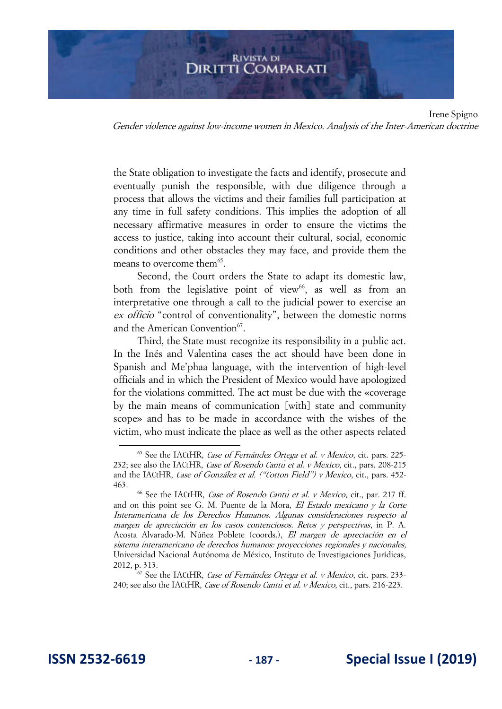Irene Spigno Gender violence against low-income women in Mexico. Analysis of the Inter-American doctrine

the State obligation to investigate the facts and identify, prosecute and eventually punish the responsible, with due diligence through a process that allows the victims and their families full participation at any time in full safety conditions. This implies the adoption of all necessary affirmative measures in order to ensure the victims the access to justice, taking into account their cultural, social, economic conditions and other obstacles they may face, and provide them the means to overcome them<sup>65</sup>.

Second, the Court orders the State to adapt its domestic law, both from the legislative point of view $^{66}$ , as well as from an interpretative one through a call to the judicial power to exercise an ex officio "control of conventionality", between the domestic norms and the American Convention<sup>67</sup>.

Third, the State must recognize its responsibility in a public act. In the Inés and Valentina cases the act should have been done in Spanish and Me'phaa language, with the intervention of high-level officials and in which the President of Mexico would have apologized for the violations committed. The act must be due with the «coverage by the main means of communication [with] state and community scope» and has to be made in accordance with the wishes of the victim, who must indicate the place as well as the other aspects related

 $65$  See the IACtHR, Case of Fernández Ortega et al. v Mexico, cit. pars. 225-232; see also the IACtHR, Case of Rosendo Cantu*́* et al. v Mexico, cit., pars. 208-215 and the IACtHR, Case of González et al. ("Cotton Field") v Mexico, cit., pars. 452-463.

<sup>66</sup> See the IACtHR, Case of Rosendo Cantu*́* et al. v Mexico, cit., par. 217 ff. and on this point see G. M. Puente de la Mora, El Estado mexicano y la Corte Interamericana de los Derechos Humanos. Algunas consideraciones respecto al margen de apreciación en los casos contenciosos. Retos y perspectivas, in P. A. Acosta Alvarado-M. Núñez Poblete (coords.), El margen de apreciación en el sistema interamericano de derechos humanos: proyecciones regionales y nacionales, Universidad Nacional Autónoma de México, Instituto de Investigaciones Jurídicas, 2012, p. 313.

 $67$  See the IACtHR, Case of Fernández Ortega et al. v Mexico, cit. pars. 233-240; see also the IACtHR, Case of Rosendo Cantu*́* et al. v Mexico, cit., pars. 216-223.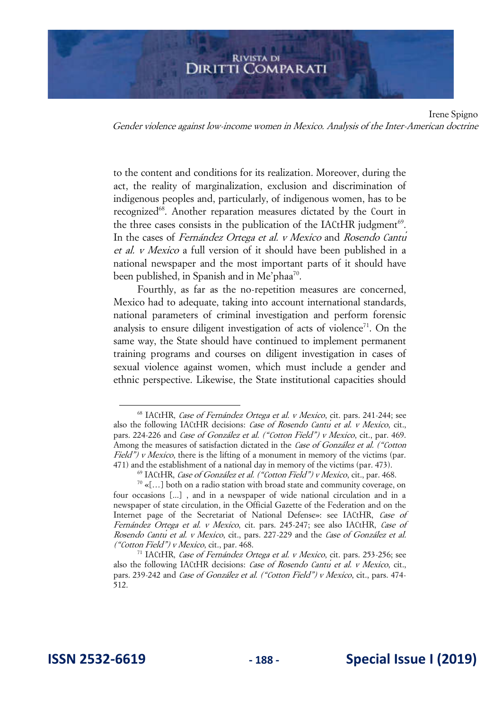Irene Spigno Gender violence against low-income women in Mexico. Analysis of the Inter-American doctrine

to the content and conditions for its realization. Moreover, during the act, the reality of marginalization, exclusion and discrimination of indigenous peoples and, particularly, of indigenous women, has to be recognized<sup>68</sup>. Another reparation measures dictated by the Court in the three cases consists in the publication of the IACtHR judgment<sup>69</sup>. In the cases of Fernández Ortega et al. v Mexico and Rosendo Cantu*́* et al. v Mexico a full version of it should have been published in a national newspaper and the most important parts of it should have been published, in Spanish and in Me'phaa<sup>70</sup>.

Fourthly, as far as the no-repetition measures are concerned, Mexico had to adequate, taking into account international standards, national parameters of criminal investigation and perform forensic analysis to ensure diligent investigation of acts of violence<sup>71</sup>. On the same way, the State should have continued to implement permanent training programs and courses on diligent investigation in cases of sexual violence against women, which must include a gender and ethnic perspective. Likewise, the State institutional capacities should

<sup>&</sup>lt;sup>68</sup> IACtHR, Case of Fernández Ortega et al. v Mexico, cit. pars. 241-244; see also the following IACtHR decisions: Case of Rosendo Cantu*́* et al. v Mexico, cit., pars. 224-226 and Case of González et al. ("Cotton Field") v Mexico, cit., par. 469. Among the measures of satisfaction dictated in the Case of González et al. ("Cotton *Field") v Mexico*, there is the lifting of a monument in memory of the victims (par. 471) and the establishment of a national day in memory of the victims (par. 473).

 $^{69}$  IACtHR, Case of González et al. ("Cotton Field") v Mexico, cit., par. 468.

<sup>70</sup> «[…] both on a radio station with broad state and community coverage, on four occasions [...] , and in a newspaper of wide national circulation and in a newspaper of state circulation, in the Official Gazette of the Federation and on the Internet page of the Secretariat of National Defense»: see IACtHR, Case of Fernández Ortega et al. v Mexico, cit. pars. 245-247; see also IACtHR, Case of Rosendo Cantu*́* et al. v Mexico, cit., pars. 227-229 and the Case of González et al. ("Cotton Field") v Mexico, cit., par. 468.

<sup>&</sup>lt;sup>71</sup> IACtHR, Case of Fernández Ortega et al. v Mexico, cit. pars. 253-256; see also the following IACtHR decisions: Case of Rosendo Cantu*́* et al. v Mexico, cit., pars. 239-242 and Case of González et al. ("Cotton Field") v Mexico, cit., pars. 474-512.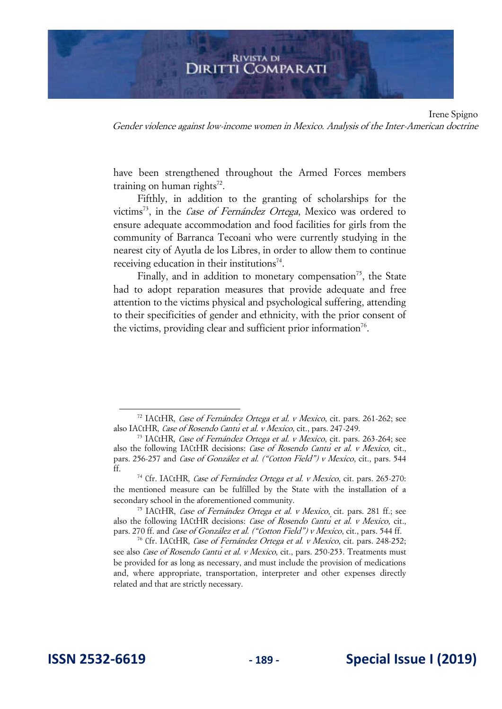

Irene Spigno Gender violence against low-income women in Mexico. Analysis of the Inter-American doctrine

have been strengthened throughout the Armed Forces members training on human rights $72$ .

Fifthly, in addition to the granting of scholarships for the victims<sup>73</sup>, in the Case of Fernández Ortega, Mexico was ordered to ensure adequate accommodation and food facilities for girls from the community of Barranca Tecoani who were currently studying in the nearest city of Ayutla de los Libres, in order to allow them to continue receiving education in their institutions<sup>74</sup>.

Finally, and in addition to monetary compensation<sup>75</sup>, the State had to adopt reparation measures that provide adequate and free attention to the victims physical and psychological suffering, attending to their specificities of gender and ethnicity, with the prior consent of the victims, providing clear and sufficient prior information<sup>76</sup>.

<sup>&</sup>lt;sup>72</sup> IACtHR, Case of Fernández Ortega et al. v Mexico, cit. pars. 261-262; see also IACtHR, Case of Rosendo Cantu*́* et al. v Mexico, cit., pars. 247-249.

<sup>&</sup>lt;sup>73</sup> IACtHR, Case of Fernández Ortega et al. v Mexico, cit. pars. 263-264; see also the following IACtHR decisions: Case of Rosendo Cantu*́* et al. v Mexico, cit., pars. 256-257 and Case of González et al. ("Cotton Field") v Mexico, cit., pars. 544 ff.

<sup>&</sup>lt;sup>74</sup> Cfr. IACtHR, Case of Fernández Ortega et al. v Mexico, cit. pars. 265-270: the mentioned measure can be fulfilled by the State with the installation of a secondary school in the aforementioned community.

<sup>&</sup>lt;sup>75</sup> IACtHR, Case of Fernández Ortega et al. v Mexico, cit. pars. 281 ff.; see also the following IACtHR decisions: Case of Rosendo Cantu*́* et al. v Mexico, cit., pars. 270 ff. and Case of González et al. ("Cotton Field") v Mexico, cit., pars. 544 ff.

<sup>&</sup>lt;sup>76</sup> Cfr. IACtHR, Case of Fernández Ortega et al. v Mexico, cit. pars. 248-252; see also Case of Rosendo Cantu<sup>*i*</sup> et al. v Mexico, cit., pars. 250-253. Treatments must be provided for as long as necessary, and must include the provision of medications and, where appropriate, transportation, interpreter and other expenses directly related and that are strictly necessary.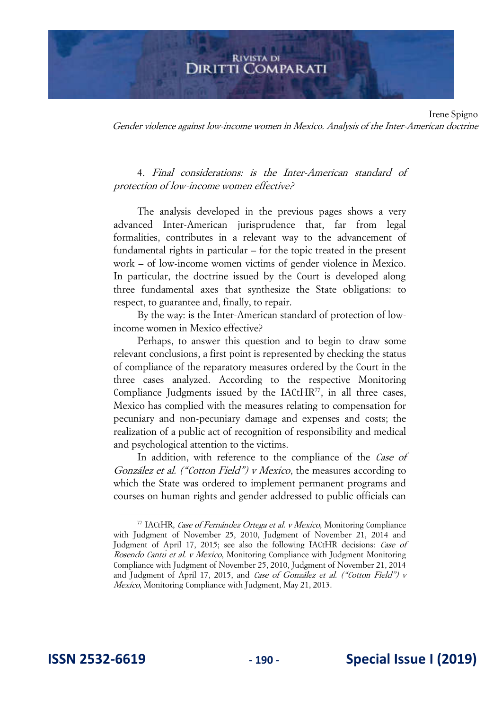Irene Spigno Gender violence against low-income women in Mexico. Analysis of the Inter-American doctrine

4. Final considerations: is the Inter-American standard of protection of low-income women effective?

The analysis developed in the previous pages shows a very advanced Inter-American jurisprudence that, far from legal formalities, contributes in a relevant way to the advancement of fundamental rights in particular – for the topic treated in the present work – of low-income women victims of gender violence in Mexico. In particular, the doctrine issued by the Court is developed along three fundamental axes that synthesize the State obligations: to respect, to guarantee and, finally, to repair.

By the way: is the Inter-American standard of protection of lowincome women in Mexico effective?

Perhaps, to answer this question and to begin to draw some relevant conclusions, a first point is represented by checking the status of compliance of the reparatory measures ordered by the Court in the three cases analyzed. According to the respective Monitoring Compliance Judgments issued by the  $IACHR<sup>77</sup>$ , in all three cases, Mexico has complied with the measures relating to compensation for pecuniary and non-pecuniary damage and expenses and costs; the realization of a public act of recognition of responsibility and medical and psychological attention to the victims.

In addition, with reference to the compliance of the *Case of* González et al. ("Cotton Field") v Mexico, the measures according to which the State was ordered to implement permanent programs and courses on human rights and gender addressed to public officials can

 $^{77}$  IACtHR, Case of Fernández Ortega et al. v Mexico, Monitoring Compliance with Judgment of November 25, 2010, Judgment of November 21, 2014 and Judgment of April 17, 2015; see also the following IACtHR decisions: Case of Rosendo Cantu*́* et al. v Mexico, Monitoring Compliance with Judgment Monitoring Compliance with Judgment of November 25, 2010, Judgment of November 21, 2014 and Judgment of April 17, 2015, and Case of González et al. ("Cotton Field") v Mexico, Monitoring Compliance with Judgment, May 21, 2013.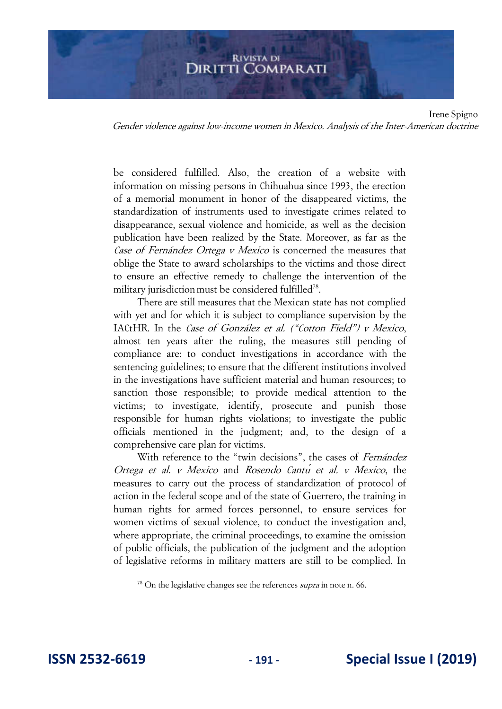### **RIVISTA DI** DIRITTI COMPARATI

Irene Spigno Gender violence against low-income women in Mexico. Analysis of the Inter-American doctrine

be considered fulfilled. Also, the creation of a website with information on missing persons in Chihuahua since 1993, the erection of a memorial monument in honor of the disappeared victims, the standardization of instruments used to investigate crimes related to disappearance, sexual violence and homicide, as well as the decision publication have been realized by the State. Moreover, as far as the Case of Fernández Ortega v Mexico is concerned the measures that oblige the State to award scholarships to the victims and those direct to ensure an effective remedy to challenge the intervention of the military jurisdiction must be considered fulfilled<sup>78</sup>.

There are still measures that the Mexican state has not complied with yet and for which it is subject to compliance supervision by the IACtHR. In the Case of González et al. ("Cotton Field") v Mexico, almost ten years after the ruling, the measures still pending of compliance are: to conduct investigations in accordance with the sentencing guidelines; to ensure that the different institutions involved in the investigations have sufficient material and human resources; to sanction those responsible; to provide medical attention to the victims; to investigate, identify, prosecute and punish those responsible for human rights violations; to investigate the public officials mentioned in the judgment; and, to the design of a comprehensive care plan for victims.

With reference to the "twin decisions", the cases of Fernández Ortega et al. v Mexico and Rosendo Cantu*́* et al. v Mexico, the measures to carry out the process of standardization of protocol of action in the federal scope and of the state of Guerrero, the training in human rights for armed forces personnel, to ensure services for women victims of sexual violence, to conduct the investigation and, where appropriate, the criminal proceedings, to examine the omission of public officials, the publication of the judgment and the adoption of legislative reforms in military matters are still to be complied. In

 $78$  On the legislative changes see the references *supra* in note n. 66.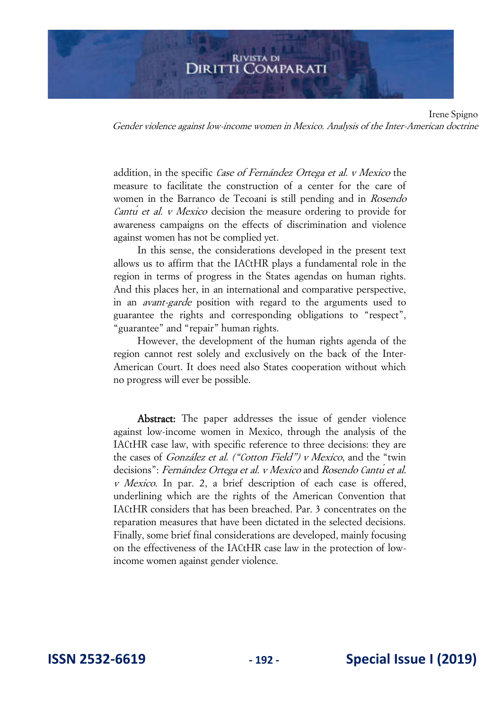Irene Spigno Gender violence against low-income women in Mexico. Analysis of the Inter-American doctrine

addition, in the specific Case of Fernández Ortega et al. v Mexico the measure to facilitate the construction of a center for the care of women in the Barranco de Tecoani is still pending and in Rosendo Cantu*́* et al. v Mexico decision the measure ordering to provide for awareness campaigns on the effects of discrimination and violence against women has not be complied yet.

In this sense, the considerations developed in the present text allows us to affirm that the IACtHR plays a fundamental role in the region in terms of progress in the States agendas on human rights. And this places her, in an international and comparative perspective, in an avant-garde position with regard to the arguments used to guarantee the rights and corresponding obligations to "respect", "guarantee" and "repair" human rights.

However, the development of the human rights agenda of the region cannot rest solely and exclusively on the back of the Inter-American Court. It does need also States cooperation without which no progress will ever be possible.

Abstract: The paper addresses the issue of gender violence against low-income women in Mexico, through the analysis of the IACtHR case law, with specific reference to three decisions: they are the cases of González et al. ("Cotton Field") v Mexico, and the "twin decisions": Fernández Ortega et al. v Mexico and Rosendo Cantu*́* et al. v Mexico. In par. 2, a brief description of each case is offered, underlining which are the rights of the American Convention that IACtHR considers that has been breached. Par. 3 concentrates on the reparation measures that have been dictated in the selected decisions. Finally, some brief final considerations are developed, mainly focusing on the effectiveness of the IACtHR case law in the protection of lowincome women against gender violence.